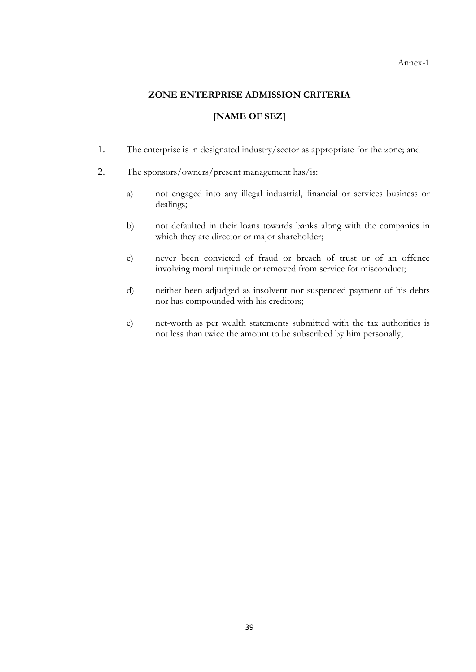Annex-1

### **ZONE ENTERPRISE ADMISSION CRITERIA**

# **[NAME OF SEZ]**

- 1. The enterprise is in designated industry/sector as appropriate for the zone; and
- 2. The sponsors/owners/present management has/is:
	- a) not engaged into any illegal industrial, financial or services business or dealings;
	- b) not defaulted in their loans towards banks along with the companies in which they are director or major shareholder;
	- c) never been convicted of fraud or breach of trust or of an offence involving moral turpitude or removed from service for misconduct;
	- d) neither been adjudged as insolvent nor suspended payment of his debts nor has compounded with his creditors;
	- e) net-worth as per wealth statements submitted with the tax authorities is not less than twice the amount to be subscribed by him personally;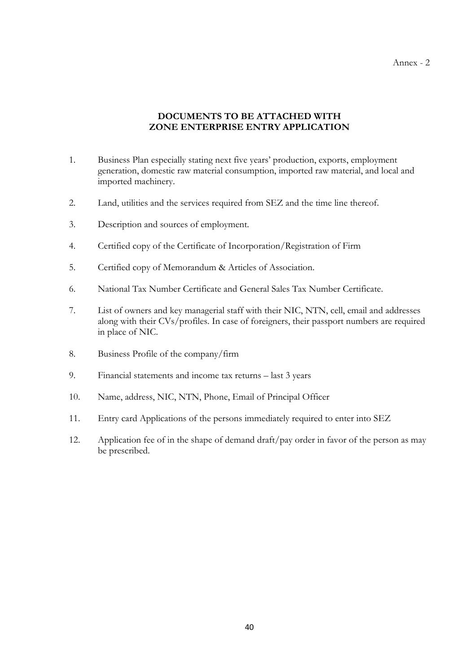### **DOCUMENTS TO BE ATTACHED WITH ZONE ENTERPRISE ENTRY APPLICATION**

- 1. Business Plan especially stating next five years' production, exports, employment generation, domestic raw material consumption, imported raw material, and local and imported machinery.
- 2. Land, utilities and the services required from SEZ and the time line thereof.
- 3. Description and sources of employment.
- 4. Certified copy of the Certificate of Incorporation/Registration of Firm
- 5. Certified copy of Memorandum & Articles of Association.
- 6. National Tax Number Certificate and General Sales Tax Number Certificate.
- 7. List of owners and key managerial staff with their NIC, NTN, cell, email and addresses along with their CVs/profiles. In case of foreigners, their passport numbers are required in place of NIC.
- 8. Business Profile of the company/firm
- 9. Financial statements and income tax returns last 3 years
- 10. Name, address, NIC, NTN, Phone, Email of Principal Officer
- 11. Entry card Applications of the persons immediately required to enter into SEZ
- 12. Application fee of in the shape of demand draft/pay order in favor of the person as may be prescribed.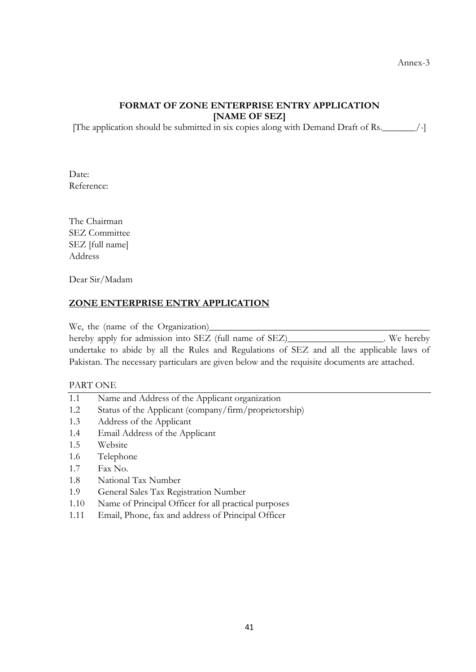# **FORMAT OF ZONE ENTERPRISE ENTRY APPLICATION [NAME OF SEZ]**

[The application should be submitted in six copies along with Demand Draft of Rs.\_\_\_\_\_\_\_/-]

Date: Reference:

The Chairman SEZ Committee SEZ [full name] Address

Dear Sir/Madam

## **ZONE ENTERPRISE ENTRY APPLICATION**

We, the (name of the Organization)\_\_\_\_\_\_\_\_\_\_\_\_\_\_\_\_\_\_\_\_\_\_\_\_\_\_\_\_\_\_\_\_\_\_\_\_\_\_\_\_\_\_\_\_\_\_

hereby apply for admission into SEZ (full name of SEZ)\_\_\_\_\_\_\_\_\_\_\_\_\_\_\_\_\_. We hereby undertake to abide by all the Rules and Regulations of SEZ and all the applicable laws of Pakistan. The necessary particulars are given below and the requisite documents are attached.

#### PART ONE

- 1.1 Name and Address of the Applicant organization
- 1.2 Status of the Applicant (company/firm/proprietorship)
- 1.3 Address of the Applicant
- 1.4 Email Address of the Applicant
- 1.5 Website
- 1.6 Telephone
- 1.7 Fax No.
- 1.8 National Tax Number
- 1.9 General Sales Tax Registration Number
- 1.10 Name of Principal Officer for all practical purposes
- 1.11 Email, Phone, fax and address of Principal Officer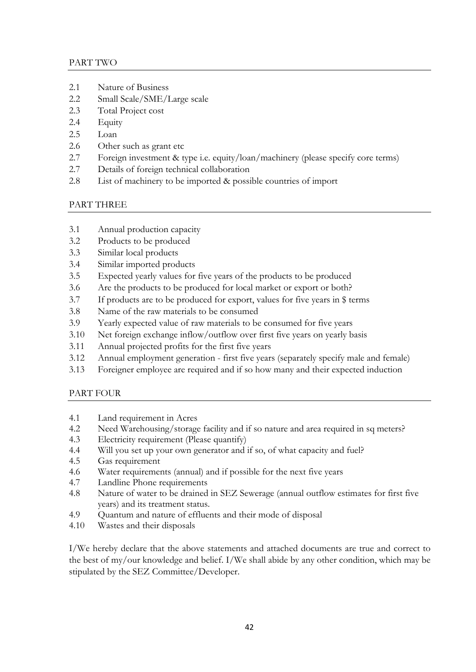### PART TWO

- 2.1 Nature of Business
- 2.2 Small Scale/SME/Large scale
- 2.3 Total Project cost
- 2.4 Equity
- 2.5 Loan
- 2.6 Other such as grant etc
- 2.7 Foreign investment & type i.e. equity/loan/machinery (please specify core terms)
- 2.7 Details of foreign technical collaboration
- 2.8 List of machinery to be imported & possible countries of import

## PART THREE

- 3.1 Annual production capacity
- 3.2 Products to be produced
- 3.3 Similar local products
- 3.4 Similar imported products
- 3.5 Expected yearly values for five years of the products to be produced
- 3.6 Are the products to be produced for local market or export or both?
- 3.7 If products are to be produced for export, values for five years in \$ terms
- 3.8 Name of the raw materials to be consumed
- 3.9 Yearly expected value of raw materials to be consumed for five years
- 3.10 Net foreign exchange inflow/outflow over first five years on yearly basis
- 3.11 Annual projected profits for the first five years
- 3.12 Annual employment generation first five years (separately specify male and female)
- 3.13 Foreigner employee are required and if so how many and their expected induction

# PART FOUR

- 4.1 Land requirement in Acres
- 4.2 Need Warehousing/storage facility and if so nature and area required in sq meters?
- 4.3 Electricity requirement (Please quantify)
- 4.4 Will you set up your own generator and if so, of what capacity and fuel?
- 4.5 Gas requirement
- 4.6 Water requirements (annual) and if possible for the next five years
- 4.7 Landline Phone requirements
- 4.8 Nature of water to be drained in SEZ Sewerage (annual outflow estimates for first five years) and its treatment status.
- 4.9 Quantum and nature of effluents and their mode of disposal
- 4.10 Wastes and their disposals

I/We hereby declare that the above statements and attached documents are true and correct to the best of my/our knowledge and belief. I/We shall abide by any other condition, which may be stipulated by the SEZ Committee/Developer.